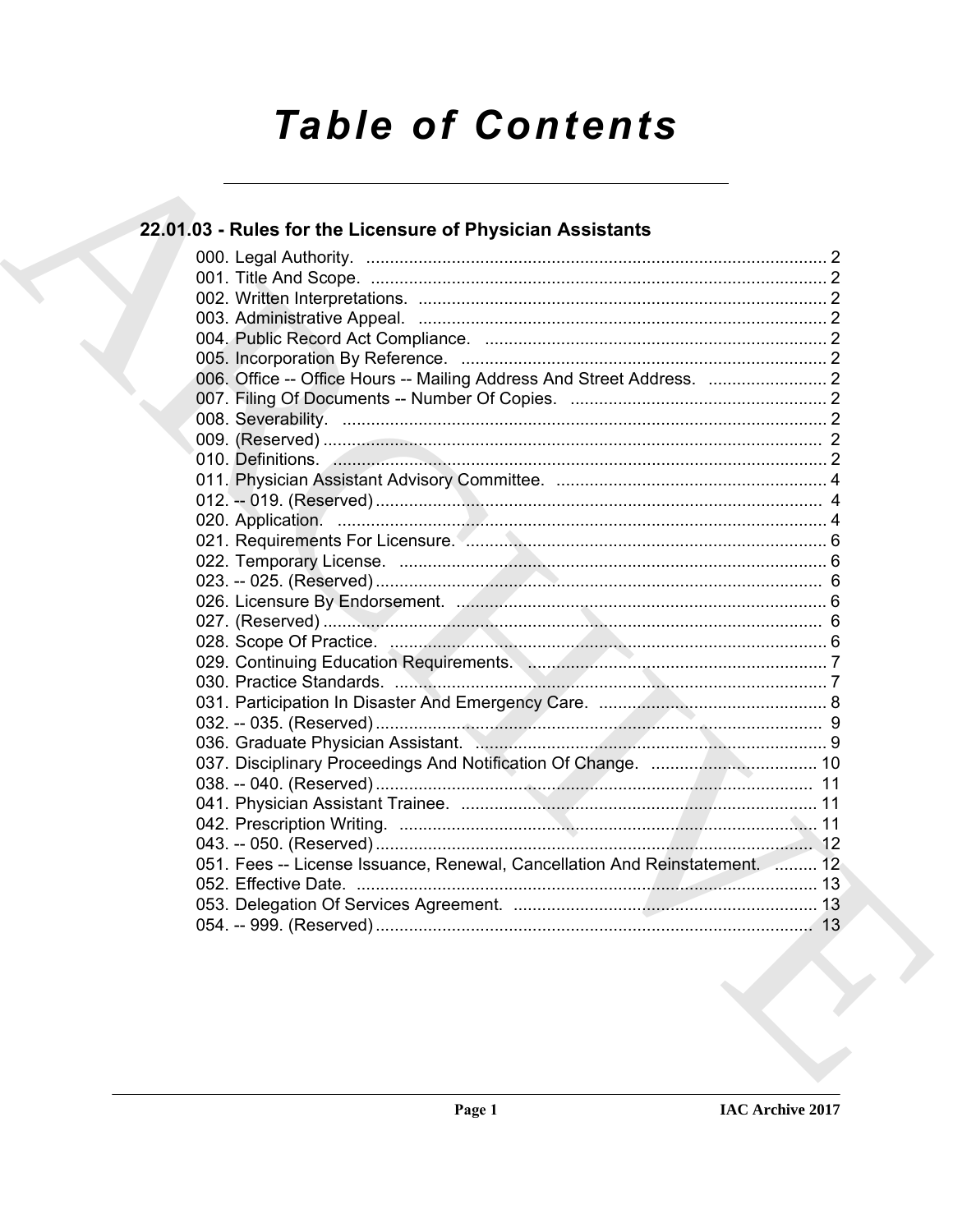# **Table of Contents**

## 22.01.03 - Rules for the Licensure of Physician Assistants

| 006. Office -- Office Hours -- Mailing Address And Street Address.  2                                                                                                                                                         |
|-------------------------------------------------------------------------------------------------------------------------------------------------------------------------------------------------------------------------------|
|                                                                                                                                                                                                                               |
|                                                                                                                                                                                                                               |
|                                                                                                                                                                                                                               |
| 010. Definitions. 2008. 2009. 2010. 2010. 2010. 2010. 2010. 2010. 2010. 2010. 2010. 2010. 2010. 2010. 2010. 2010. 2010. 2010. 2010. 2010. 2010. 2010. 2010. 2010. 2010. 2010. 2010. 2010. 2010. 2010. 2010. 2010. 2010. 2010. |
|                                                                                                                                                                                                                               |
|                                                                                                                                                                                                                               |
|                                                                                                                                                                                                                               |
|                                                                                                                                                                                                                               |
|                                                                                                                                                                                                                               |
|                                                                                                                                                                                                                               |
|                                                                                                                                                                                                                               |
|                                                                                                                                                                                                                               |
|                                                                                                                                                                                                                               |
| 029. Continuing Education Requirements. Managements. 1999. Continuing T                                                                                                                                                       |
|                                                                                                                                                                                                                               |
|                                                                                                                                                                                                                               |
|                                                                                                                                                                                                                               |
|                                                                                                                                                                                                                               |
|                                                                                                                                                                                                                               |
|                                                                                                                                                                                                                               |
|                                                                                                                                                                                                                               |
|                                                                                                                                                                                                                               |
|                                                                                                                                                                                                                               |
| 051. Fees -- License Issuance, Renewal, Cancellation And Reinstatement.  12                                                                                                                                                   |
|                                                                                                                                                                                                                               |
|                                                                                                                                                                                                                               |
|                                                                                                                                                                                                                               |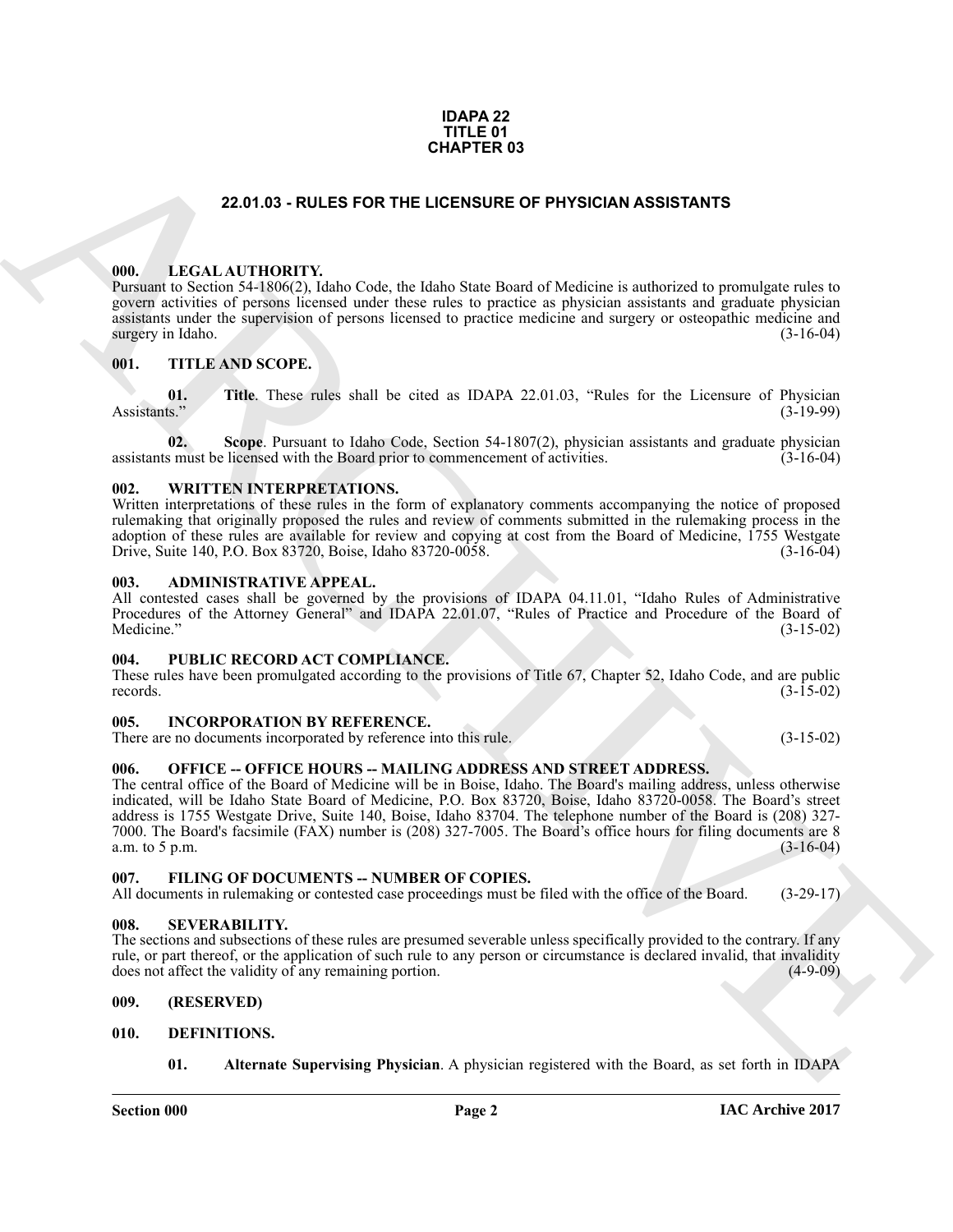#### **IDAPA 22 TITLE 01 CHAPTER 03**

#### **22.01.03 - RULES FOR THE LICENSURE OF PHYSICIAN ASSISTANTS**

#### <span id="page-1-1"></span><span id="page-1-0"></span>**000. LEGAL AUTHORITY.**

Pursuant to Section 54-1806(2), Idaho Code, the Idaho State Board of Medicine is authorized to promulgate rules to govern activities of persons licensed under these rules to practice as physician assistants and graduate physician assistants under the supervision of persons licensed to practice medicine and surgery or osteopathic medicine and surgery in Idaho. (3-16-04) surgery in Idaho.

#### <span id="page-1-2"></span>**001. TITLE AND SCOPE.**

**01.** Title. These rules shall be cited as IDAPA 22.01.03, "Rules for the Licensure of Physician (3-19-99) Assistants." (3-19-99)

**02. Scope**. Pursuant to Idaho Code, Section 54-1807(2), physician assistants and graduate physician assistants must be licensed with the Board prior to commencement of activities. (3-16-04)

#### <span id="page-1-3"></span>**002. WRITTEN INTERPRETATIONS.**

Written interpretations of these rules in the form of explanatory comments accompanying the notice of proposed rulemaking that originally proposed the rules and review of comments submitted in the rulemaking process in the adoption of these rules are available for review and copying at cost from the Board of Medicine, 1755 Westgate Drive. Suite 140, P.O. Box 83720, Boise, Idaho 83720-0058. (3-16-04) Drive, Suite 140, P.O. Box 83720, Boise, Idaho 83720-0058.

#### <span id="page-1-4"></span>**003. ADMINISTRATIVE APPEAL.**

All contested cases shall be governed by the provisions of IDAPA 04.11.01, "Idaho Rules of Administrative Procedures of the Attorney General" and IDAPA 22.01.07, "Rules of Practice and Procedure of the Board of Medicine." (3-15-02)  $\text{Medicine."}$  (3-15-02)

#### <span id="page-1-5"></span>**004. PUBLIC RECORD ACT COMPLIANCE.**

These rules have been promulgated according to the provisions of Title 67, Chapter 52, Idaho Code, and are public records. (3-15-02) records.  $(3-15-02)$ 

#### <span id="page-1-6"></span>**005. INCORPORATION BY REFERENCE.**

There are no documents incorporated by reference into this rule. (3-15-02)

#### <span id="page-1-7"></span>**006. OFFICE -- OFFICE HOURS -- MAILING ADDRESS AND STREET ADDRESS.**

**CHAPTER 03**<br> **CHAPTER 03**<br> **CHAPTER 03**<br> **CHAPTER 03**<br> **CHAPTER CONSULT UNITS CORT THE LOCENSIUR OF PHYSICIAN ASSISTANTS**<br> **CHAPTER CONSULT UNITS CORT THE CONSULT CONSULT CONSULT CONSULT CONSULT CONSULT CONSULT CONSULT C** The central office of the Board of Medicine will be in Boise, Idaho. The Board's mailing address, unless otherwise indicated, will be Idaho State Board of Medicine, P.O. Box 83720, Boise, Idaho 83720-0058. The Board's street address is 1755 Westgate Drive, Suite 140, Boise, Idaho 83704. The telephone number of the Board is (208) 327- 7000. The Board's facsimile (FAX) number is (208) 327-7005. The Board's office hours for filing documents are 8 a.m. to  $5$  p.m.

#### <span id="page-1-8"></span>**007. FILING OF DOCUMENTS -- NUMBER OF COPIES.**

All documents in rulemaking or contested case proceedings must be filed with the office of the Board. (3-29-17)

#### <span id="page-1-9"></span>**008. SEVERABILITY.**

The sections and subsections of these rules are presumed severable unless specifically provided to the contrary. If any rule, or part thereof, or the application of such rule to any person or circumstance is declared invalid, that invalidity does not affect the validity of any remaining portion. (4-9-09)

#### <span id="page-1-10"></span>**009. (RESERVED)**

#### <span id="page-1-11"></span>**010. DEFINITIONS.**

<span id="page-1-13"></span><span id="page-1-12"></span>**01. Alternate Supervising Physician**. A physician registered with the Board, as set forth in IDAPA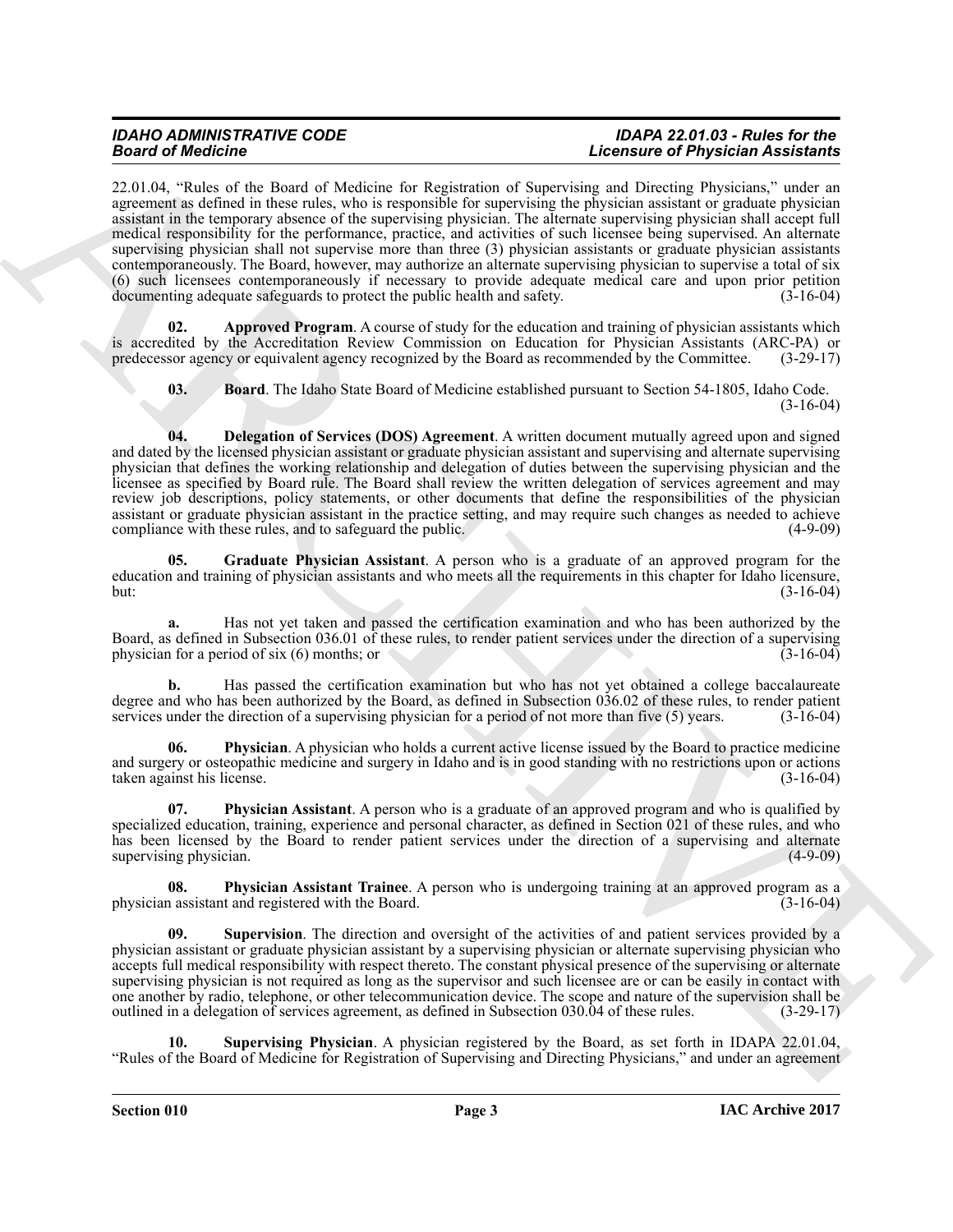**Solution** of the significant of the basic in dependent of Succession and Reported Associates and the significant experimental and the significant of the significant of the significant of the significant of the significan 22.01.04, "Rules of the Board of Medicine for Registration of Supervising and Directing Physicians," under an agreement as defined in these rules, who is responsible for supervising the physician assistant or graduate physician assistant in the temporary absence of the supervising physician. The alternate supervising physician shall accept full medical responsibility for the performance, practice, and activities of such licensee being supervised. An alternate supervising physician shall not supervise more than three (3) physician assistants or graduate physician assistants contemporaneously. The Board, however, may authorize an alternate supervising physician to supervise a total of six (6) such licensees contemporaneously if necessary to provide adequate medical care and upon prior petition documenting adequate safeguards to protect the public health and safety. (3-16-04)

**Approved Program.** A course of study for the education and training of physician assistants which is accredited by the Accreditation Review Commission on Education for Physician Assistants (ARC-PA) or predecessor agency or equivalent agency recognized by the Board as recommended by the Committee. (3-29-17) predecessor agency or equivalent agency recognized by the Board as recommended by the Committee.

<span id="page-2-2"></span><span id="page-2-1"></span><span id="page-2-0"></span>**03. Board**. The Idaho State Board of Medicine established pursuant to Section 54-1805, Idaho Code. (3-16-04)

**04. Delegation of Services (DOS) Agreement**. A written document mutually agreed upon and signed and dated by the licensed physician assistant or graduate physician assistant and supervising and alternate supervising physician that defines the working relationship and delegation of duties between the supervising physician and the licensee as specified by Board rule. The Board shall review the written delegation of services agreement and may review job descriptions, policy statements, or other documents that define the responsibilities of the physician assistant or graduate physician assistant in the practice setting, and may require such changes as needed to achieve compliance with these rules, and to safeguard the public. (4-9-09) compliance with these rules, and to safeguard the public.

<span id="page-2-3"></span>**05. Graduate Physician Assistant**. A person who is a graduate of an approved program for the education and training of physician assistants and who meets all the requirements in this chapter for Idaho licensure,<br>(3-16-04) but: (3-16-04)

**a.** Has not yet taken and passed the certification examination and who has been authorized by the Board, as defined in Subsection 036.01 of these rules, to render patient services under the direction of a supervising physician for a period of six (6) months: or physician for a period of six  $(6)$  months; or

**b.** Has passed the certification examination but who has not yet obtained a college baccalaureate degree and who has been authorized by the Board, as defined in Subsection 036.02 of these rules, to render patient services under the direction of a supervising physician for a period of not more than five (5) years. (3-16 services under the direction of a supervising physician for a period of not more than five  $(5)$  years.

<span id="page-2-4"></span>**Physician**. A physician who holds a current active license issued by the Board to practice medicine and surgery or osteopathic medicine and surgery in Idaho and is in good standing with no restrictions upon or actions taken against his license. (3-16-04)

<span id="page-2-5"></span>**07. Physician Assistant**. A person who is a graduate of an approved program and who is qualified by specialized education, training, experience and personal character, as defined in Section 021 of these rules, and who has been licensed by the Board to render patient services under the direction of a supervising and alternate supervising physician. (4-9-09) supervising physician.

<span id="page-2-6"></span>**08. Physician Assistant Trainee**. A person who is undergoing training at an approved program as a physician assistant and registered with the Board.

<span id="page-2-8"></span>**09. Supervision**. The direction and oversight of the activities of and patient services provided by a physician assistant or graduate physician assistant by a supervising physician or alternate supervising physician who accepts full medical responsibility with respect thereto. The constant physical presence of the supervising or alternate supervising physician is not required as long as the supervisor and such licensee are or can be easily in contact with one another by radio, telephone, or other telecommunication device. The scope and nature of the supervision shall be outlined in a delegation of services agreement, as defined in Subsection 030.04 of these rules. (3-29-17)

<span id="page-2-7"></span>**10. Supervising Physician**. A physician registered by the Board, as set forth in IDAPA 22.01.04, "Rules of the Board of Medicine for Registration of Supervising and Directing Physicians," and under an agreement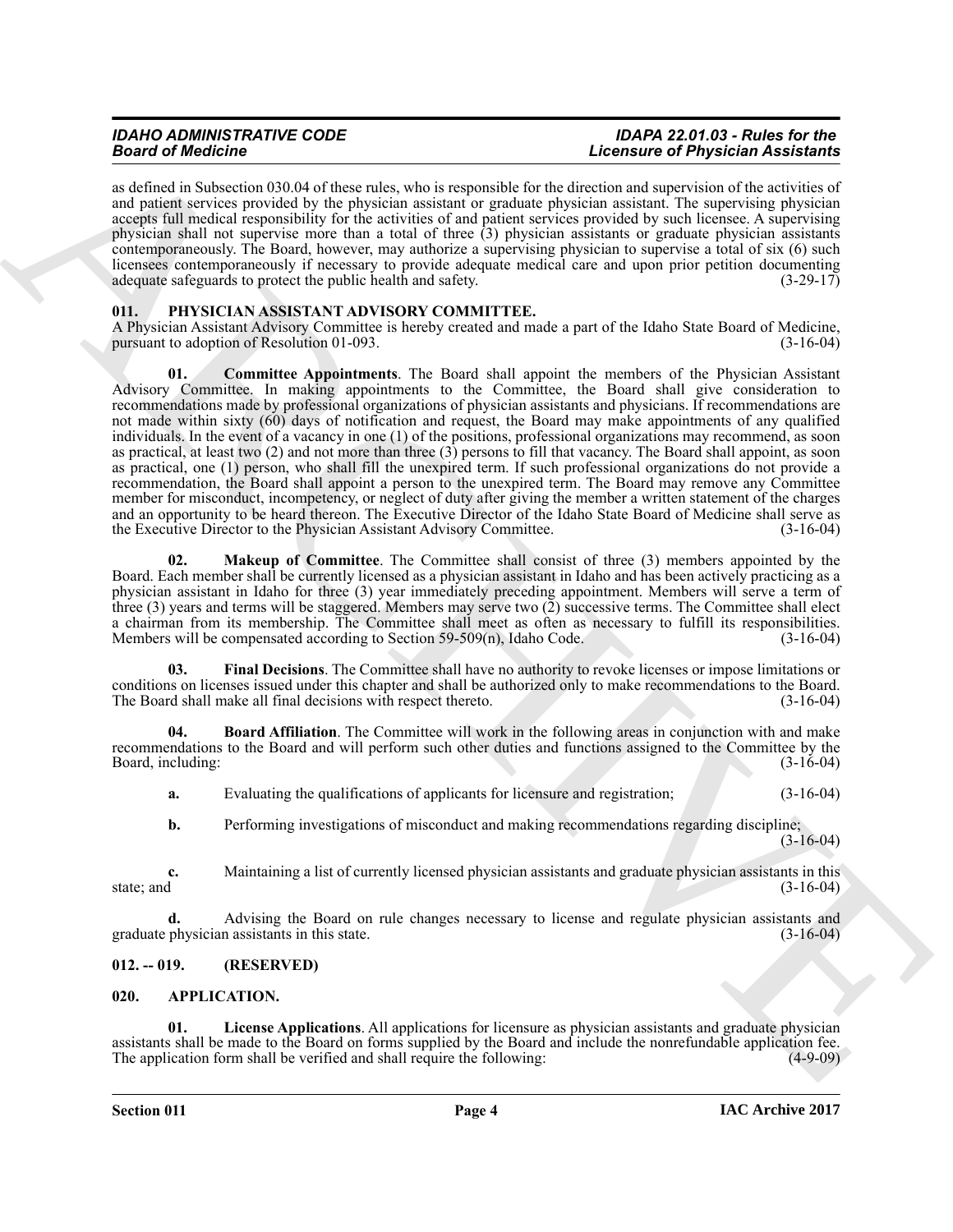as defined in Subsection 030.04 of these rules, who is responsible for the direction and supervision of the activities of and patient services provided by the physician assistant or graduate physician assistant. The supervising physician accepts full medical responsibility for the activities of and patient services provided by such licensee. A supervising physician shall not supervise more than a total of three (3) physician assistants or graduate physician assistants contemporaneously. The Board, however, may authorize a supervising physician to supervise a total of six (6) such licensees contemporaneously if necessary to provide adequate medical care and upon prior petition documenting adequate safeguards to protect the public health and safety. (3-29-17) adequate safeguards to protect the public health and safety.

#### <span id="page-3-5"></span><span id="page-3-0"></span>**011. PHYSICIAN ASSISTANT ADVISORY COMMITTEE.**

<span id="page-3-7"></span>A Physician Assistant Advisory Committee is hereby created and made a part of the Idaho State Board of Medicine, pursuant to adoption of Resolution 01-093.

**EXAMPLE AND EXAMPLE AND ARCHIVES CONSULTIVE CONSULTIVE CONSULTIVE CONSULTIVE CONSULTIVE CONSULTIVE CONSULTIVE CONSULTIVE AND ARCHIVES CONSULTIVE CONSULTIVE CONSULTIVE CONSULTIVE CONSULTIVE CONSULTIVE CONSULTIVE CONSULTIV 01. Committee Appointments**. The Board shall appoint the members of the Physician Assistant Advisory Committee. In making appointments to the Committee, the Board shall give consideration to recommendations made by professional organizations of physician assistants and physicians. If recommendations are not made within sixty (60) days of notification and request, the Board may make appointments of any qualified individuals. In the event of a vacancy in one (1) of the positions, professional organizations may recommend, as soon as practical, at least two (2) and not more than three (3) persons to fill that vacancy. The Board shall appoint, as soon as practical, one (1) person, who shall fill the unexpired term. If such professional organizations do not provide a recommendation, the Board shall appoint a person to the unexpired term. The Board may remove any Committee member for misconduct, incompetency, or neglect of duty after giving the member a written statement of the charges and an opportunity to be heard thereon. The Executive Director of the Idaho State Board of Medicine shall serve as the Executive Director to the Physician Assistant Advisory Committee. (3-16-04) the Executive Director to the Physician Assistant Advisory Committee.

<span id="page-3-9"></span>**02. Makeup of Committee**. The Committee shall consist of three (3) members appointed by the Board. Each member shall be currently licensed as a physician assistant in Idaho and has been actively practicing as a physician assistant in Idaho for three (3) year immediately preceding appointment. Members will serve a term of three (3) years and terms will be staggered. Members may serve two (2) successive terms. The Committee shall elect a chairman from its membership. The Committee shall meet as often as necessary to fulfill its responsibilities.<br>Members will be compensated according to Section 59-509(n), Idaho Code. (3-16-04) Members will be compensated according to Section  $59-509(n)$ , Idaho Code.

<span id="page-3-8"></span>**03. Final Decisions**. The Committee shall have no authority to revoke licenses or impose limitations or conditions on licenses issued under this chapter and shall be authorized only to make recommendations to the Board. The Board shall make all final decisions with respect thereto. (3-16-04)

**04. Board Affiliation**. The Committee will work in the following areas in conjunction with and make recommendations to the Board and will perform such other duties and functions assigned to the Committee by the Board, including:

<span id="page-3-6"></span>**a.** Evaluating the qualifications of applicants for licensure and registration; (3-16-04)

**b.** Performing investigations of misconduct and making recommendations regarding discipline; (3-16-04)

**c.** Maintaining a list of currently licensed physician assistants and graduate physician assistants in this state; and  $(3-16-04)$ state; and  $(3-16-04)$ 

**d.** Advising the Board on rule changes necessary to license and regulate physician assistants and graduate physician assistants in this state. (3-16-04)

#### <span id="page-3-1"></span>**012. -- 019. (RESERVED)**

#### <span id="page-3-3"></span><span id="page-3-2"></span>**020. APPLICATION.**

<span id="page-3-4"></span>**01. License Applications**. All applications for licensure as physician assistants and graduate physician assistants shall be made to the Board on forms supplied by the Board and include the nonrefundable application fee. The application form shall be verified and shall require the following: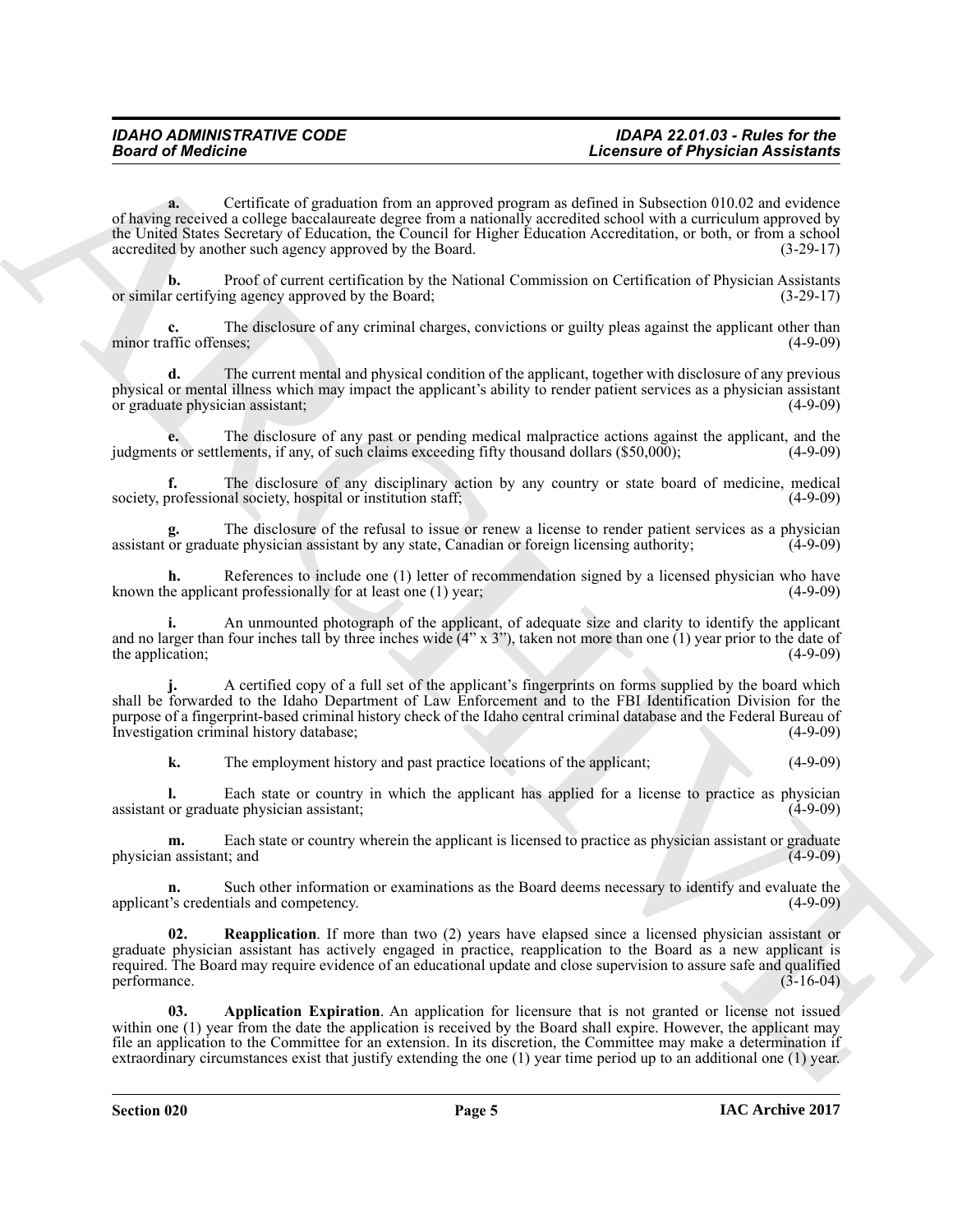**Example of Physician Assistance**<br> **Example the constraints** (**Example of Physician Assistance**<br>
The constraints of the constraints of the constraints of the constraints of the constraints of the constraints of the constr **a.** Certificate of graduation from an approved program as defined in Subsection 010.02 and evidence of having received a college baccalaureate degree from a nationally accredited school with a curriculum approved by the United States Secretary of Education, the Council for Higher Education Accreditation, or both, or from a school accredited by another such agency approved by the Board. (3-29-17)

**b.** Proof of current certification by the National Commission on Certification of Physician Assistants r certifying agency approved by the Board: (3-29-17) or similar certifying agency approved by the Board;

The disclosure of any criminal charges, convictions or guilty pleas against the applicant other than ness; (4-9-09) minor traffic offenses;

**d.** The current mental and physical condition of the applicant, together with disclosure of any previous physical or mental illness which may impact the applicant's ability to render patient services as a physician assistant or graduate physician assistant: (4-9-09) or graduate physician assistant;

**e.** The disclosure of any past or pending medical malpractice actions against the applicant, and the sor settlements, if any, of such claims exceeding fifty thousand dollars (\$50,000); (4-9-09) judgments or settlements, if any, of such claims exceeding fifty thousand dollars (\$50,000);

The disclosure of any disciplinary action by any country or state board of medicine, medical relations of medicine in the state of medicine in the state of the state of the state of the state of the state of the state of t society, professional society, hospital or institution staff;

The disclosure of the refusal to issue or renew a license to render patient services as a physician ate physician assistant by any state. Canadian or foreign licensing authority: (4-9-09) assistant or graduate physician assistant by any state, Canadian or foreign licensing authority;

**h.** References to include one (1) letter of recommendation signed by a licensed physician who have use applicant professionally for at least one (1) year; known the applicant professionally for at least one  $(1)$  year;

**i.** An unmounted photograph of the applicant, of adequate size and clarity to identify the applicant and no larger than four inches tall by three inches wide  $(4'' \times 3'')$ , taken not more than one (1) year prior to the date of the application:  $(4-9-09)$ the application;

**j.** A certified copy of a full set of the applicant's fingerprints on forms supplied by the board which shall be forwarded to the Idaho Department of Law Enforcement and to the FBI Identification Division for the purpose of a fingerprint-based criminal history check of the Idaho central criminal database and the Federal Bureau of Investigation criminal history database;

**k.** The employment history and past practice locations of the applicant; (4-9-09)

**l.** Each state or country in which the applicant has applied for a license to practice as physician or graduate physician assistant assistant or graduate physician assistant;

**m.** Each state or country wherein the applicant is licensed to practice as physician assistant or graduate n assistant; and (4-9-09) physician assistant; and

**n.** Such other information or examinations as the Board deems necessary to identify and evaluate the  $\frac{1}{3}$  credentials and competency. (4-9-09) applicant's credentials and competency.

<span id="page-4-1"></span>**02. Reapplication**. If more than two (2) years have elapsed since a licensed physician assistant or graduate physician assistant has actively engaged in practice, reapplication to the Board as a new applicant is required. The Board may require evidence of an educational update and close supervision to assure safe and qualified performance. (3-16-04)

<span id="page-4-0"></span>**03. Application Expiration**. An application for licensure that is not granted or license not issued within one (1) year from the date the application is received by the Board shall expire. However, the applicant may file an application to the Committee for an extension. In its discretion, the Committee may make a determination if extraordinary circumstances exist that justify extending the one (1) year time period up to an additional one (1) year.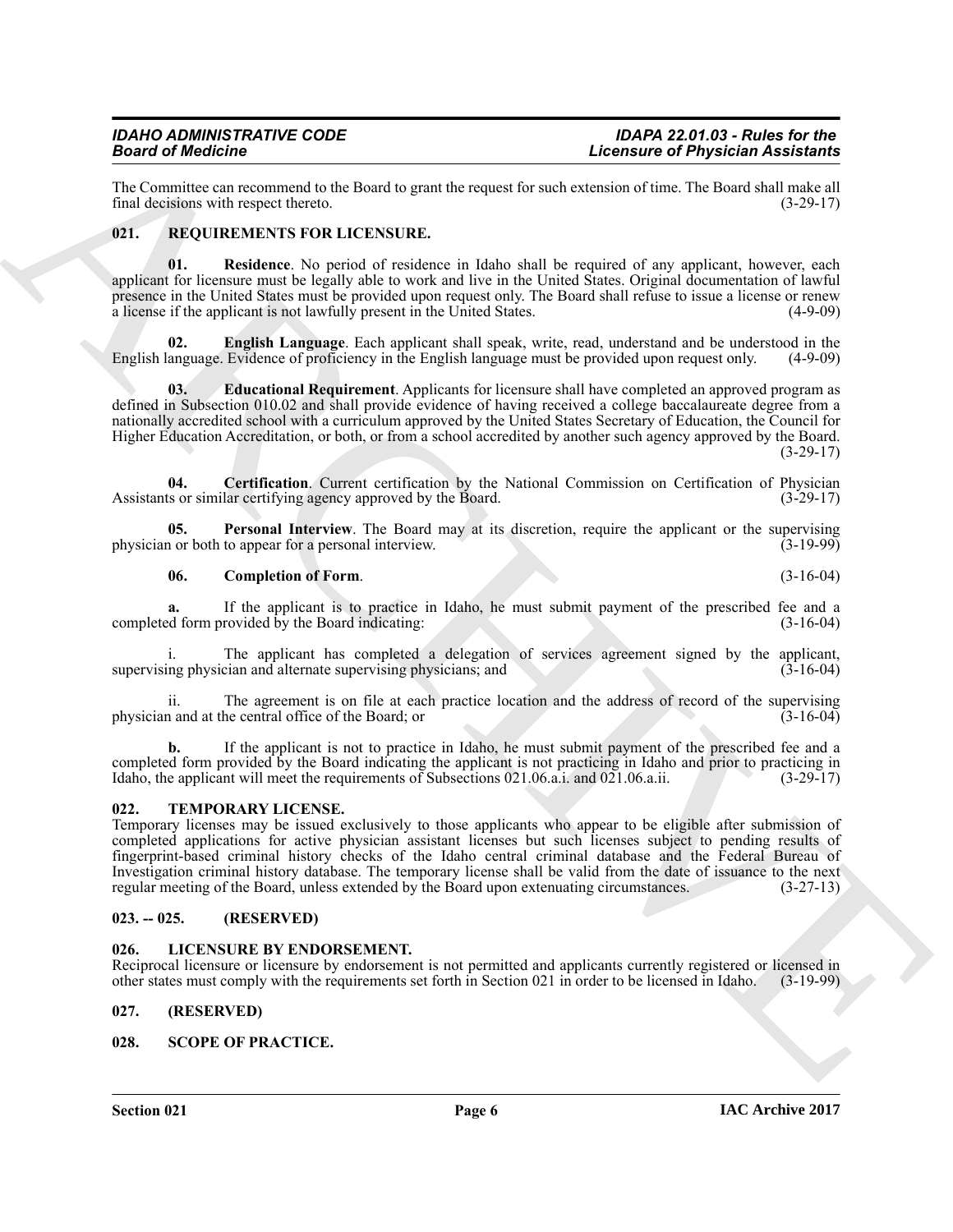The Committee can recommend to the Board to grant the request for such extension of time. The Board shall make all final decisions with respect thereto. (3-29-17) final decisions with respect thereto.

#### <span id="page-5-7"></span><span id="page-5-0"></span>**021. REQUIREMENTS FOR LICENSURE.**

<span id="page-5-13"></span>**01. Residence**. No period of residence in Idaho shall be required of any applicant, however, each applicant for licensure must be legally able to work and live in the United States. Original documentation of lawful presence in the United States must be provided upon request only. The Board shall refuse to issue a license or renew a license if the applicant is not lawfully present in the United States. (4-9-09) a license if the applicant is not lawfully present in the United States.

<span id="page-5-11"></span>**02. English Language**. Each applicant shall speak, write, read, understand and be understood in the anguage. Evidence of proficiency in the English language must be provided upon request only. (4-9-09) English language. Evidence of proficiency in the English language must be provided upon request only.

<span id="page-5-10"></span>**03. Educational Requirement**. Applicants for licensure shall have completed an approved program as defined in Subsection 010.02 and shall provide evidence of having received a college baccalaureate degree from a nationally accredited school with a curriculum approved by the United States Secretary of Education, the Council for Higher Education Accreditation, or both, or from a school accredited by another such agency approved by the Board.  $(3-29-17)$ 

<span id="page-5-8"></span>**04. Certification**. Current certification by the National Commission on Certification of Physician is or similar certifying agency approved by the Board. (3-29-17) Assistants or similar certifying agency approved by the Board.

**05. Personal Interview**. The Board may at its discretion, require the applicant or the supervising or both to appear for a personal interview. physician or both to appear for a personal interview.

#### <span id="page-5-12"></span><span id="page-5-9"></span>**06. Completion of Form**. (3-16-04)

**a.** If the applicant is to practice in Idaho, he must submit payment of the prescribed fee and a d form provided by the Board indicating: (3-16-04) completed form provided by the Board indicating:

The applicant has completed a delegation of services agreement signed by the applicant, cian and alternate supervising physicians; and  $(3-16-04)$ supervising physician and alternate supervising physicians; and

ii. The agreement is on file at each practice location and the address of record of the supervising and at the central office of the Board: or (3-16-04) physician and at the central office of the Board; or (3-16-04)

**b.** If the applicant is not to practice in Idaho, he must submit payment of the prescribed fee and a completed form provided by the Board indicating the applicant is not practicing in Idaho and prior to practicing in Idaho, the applicant will meet the requirements of Subsections 021.06.a.i. and 021.06.a.ii. (3-29-17) Idaho, the applicant will meet the requirements of Subsections 021.06.a.i. and 021.06.a.ii.

#### <span id="page-5-15"></span><span id="page-5-1"></span>**022. TEMPORARY LICENSE.**

Example of Physician characteristics and the state of Physician Assistantis ( $\mu$ Example of Physician Assistantis)<br>
Let Commute can covariant the Board of Philosophy Control and the state of the state of Physician Control Temporary licenses may be issued exclusively to those applicants who appear to be eligible after submission of completed applications for active physician assistant licenses but such licenses subject to pending results of fingerprint-based criminal history checks of the Idaho central criminal database and the Federal Bureau of Investigation criminal history database. The temporary license shall be valid from the date of issuance to the next regular meeting of the Board, unless extended by the Board upon extenuating circumstances. (3-27-13) regular meeting of the Board, unless extended by the Board upon extenuating circumstances.

#### <span id="page-5-2"></span>**023. -- 025. (RESERVED)**

#### <span id="page-5-6"></span><span id="page-5-3"></span>**026. LICENSURE BY ENDORSEMENT.**

Reciprocal licensure or licensure by endorsement is not permitted and applicants currently registered or licensed in other states must comply with the requirements set forth in Section 021 in order to be licensed in Idaho. (3-19-99)

#### <span id="page-5-4"></span>**027. (RESERVED)**

#### <span id="page-5-14"></span><span id="page-5-5"></span>**028. SCOPE OF PRACTICE.**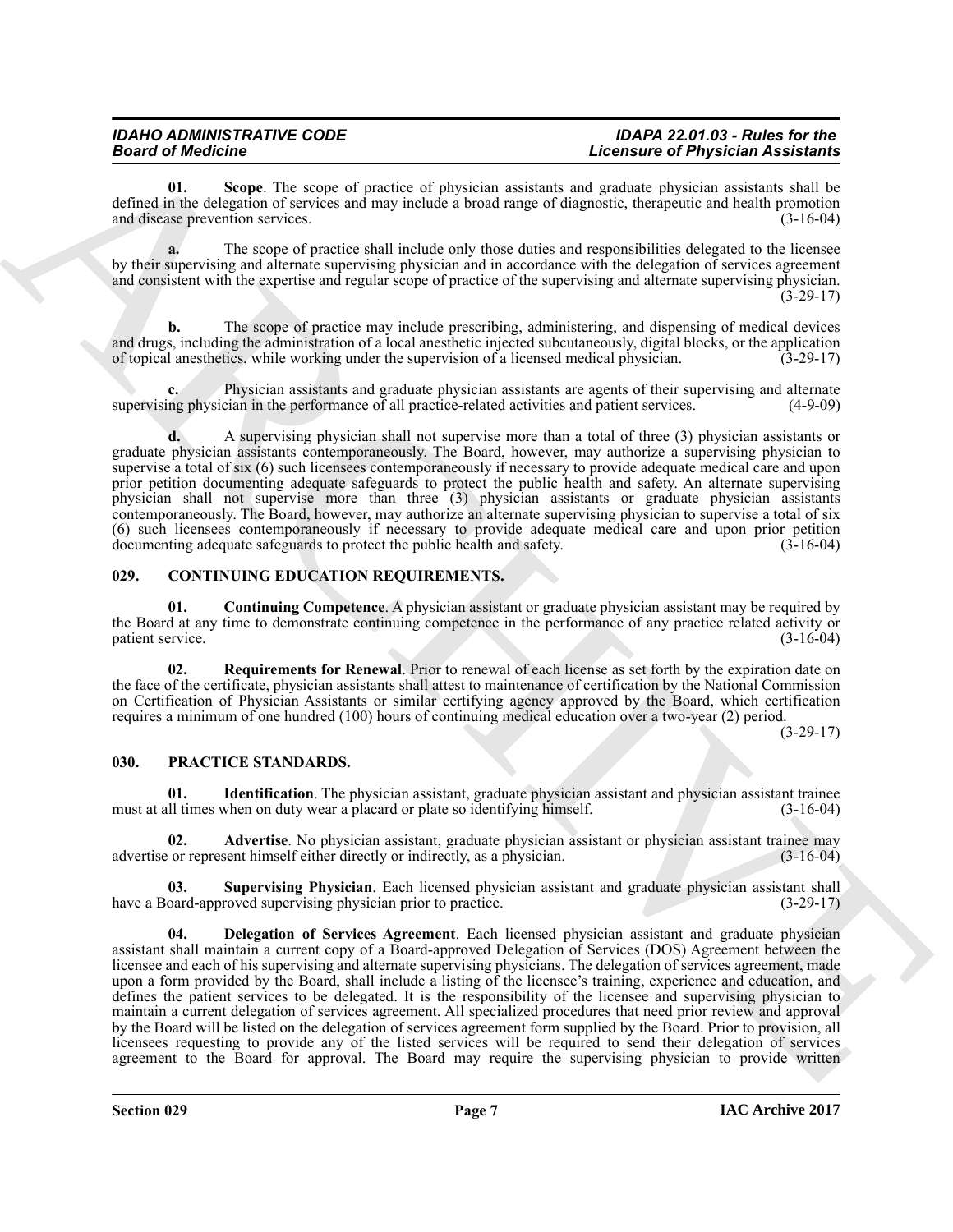## *IDAHO ADMINISTRATIVE CODE IDAPA 22.01.03 - Rules for the*

## *Board of Medicine Licensure of Physician Assistants*

<span id="page-6-10"></span>**01. Scope**. The scope of practice of physician assistants and graduate physician assistants shall be defined in the delegation of services and may include a broad range of diagnostic, therapeutic and health promotion and disease prevention services. (3-16-04) and disease prevention services.

**a.** The scope of practice shall include only those duties and responsibilities delegated to the licensee by their supervising and alternate supervising physician and in accordance with the delegation of services agreement and consistent with the expertise and regular scope of practice of the supervising and alternate supervising physician.  $(3-29-17)$ 

**b.** The scope of practice may include prescribing, administering, and dispensing of medical devices and drugs, including the administration of a local anesthetic injected subcutaneously, digital blocks, or the application of topical anesthetics, while working under the supervision of a licensed medical physician. (3-29-1 of topical anesthetics, while working under the supervision of a licensed medical physician.

**c.** Physician assistants and graduate physician assistants are agents of their supervising and alternate supervising physician in the performance of all practice-related activities and patient services. (4-9-09)

**d.** A supervising physician shall not supervise more than a total of three (3) physician assistants or graduate physician assistants contemporaneously. The Board, however, may authorize a supervising physician to supervise a total of six (6) such licensees contemporaneously if necessary to provide adequate medical care and upon prior petition documenting adequate safeguards to protect the public health and safety. An alternate supervising physician shall not supervise more than three (3) physician assistants or graduate physician assistants contemporaneously. The Board, however, may authorize an alternate supervising physician to supervise a total of six (6) such licensees contemporaneously if necessary to provide adequate medical care and upon prior petition documenting adequate safeguards to protect the public health and safety.

#### <span id="page-6-2"></span><span id="page-6-0"></span>**029. CONTINUING EDUCATION REQUIREMENTS.**

<span id="page-6-3"></span>**01. Continuing Competence**. A physician assistant or graduate physician assistant may be required by the Board at any time to demonstrate continuing competence in the performance of any practice related activity or patient service. patient service.

<span id="page-6-4"></span>**02. Requirements for Renewal**. Prior to renewal of each license as set forth by the expiration date on the face of the certificate, physician assistants shall attest to maintenance of certification by the National Commission on Certification of Physician Assistants or similar certifying agency approved by the Board, which certification requires a minimum of one hundred (100) hours of continuing medical education over a two-year (2) period.

(3-29-17)

#### <span id="page-6-5"></span><span id="page-6-1"></span>**030. PRACTICE STANDARDS.**

<span id="page-6-8"></span>**01. Identification**. The physician assistant, graduate physician assistant and physician assistant trainee ill times when on duty wear a placard or plate so identifying himself. (3-16-04) must at all times when on duty wear a placard or plate so identifying himself.

<span id="page-6-6"></span>**02. Advertise**. No physician assistant, graduate physician assistant or physician assistant trainee may or represent himself either directly or indirectly, as a physician. (3-16-04) advertise or represent himself either directly or indirectly, as a physician.

<span id="page-6-9"></span><span id="page-6-7"></span>**03. Supervising Physician**. Each licensed physician assistant and graduate physician assistant shall have a Board-approved supervising physician prior to practice.

**Example 18 and the state of the state of the state of the state of the state of the state of the state of the state of the state of the state of the state of the state of the state of the state of the state of the state 04. Delegation of Services Agreement**. Each licensed physician assistant and graduate physician assistant shall maintain a current copy of a Board-approved Delegation of Services (DOS) Agreement between the licensee and each of his supervising and alternate supervising physicians. The delegation of services agreement, made upon a form provided by the Board, shall include a listing of the licensee's training, experience and education, and defines the patient services to be delegated. It is the responsibility of the licensee and supervising physician to maintain a current delegation of services agreement. All specialized procedures that need prior review and approval by the Board will be listed on the delegation of services agreement form supplied by the Board. Prior to provision, all licensees requesting to provide any of the listed services will be required to send their delegation of services agreement to the Board for approval. The Board may require the supervising physician to provide written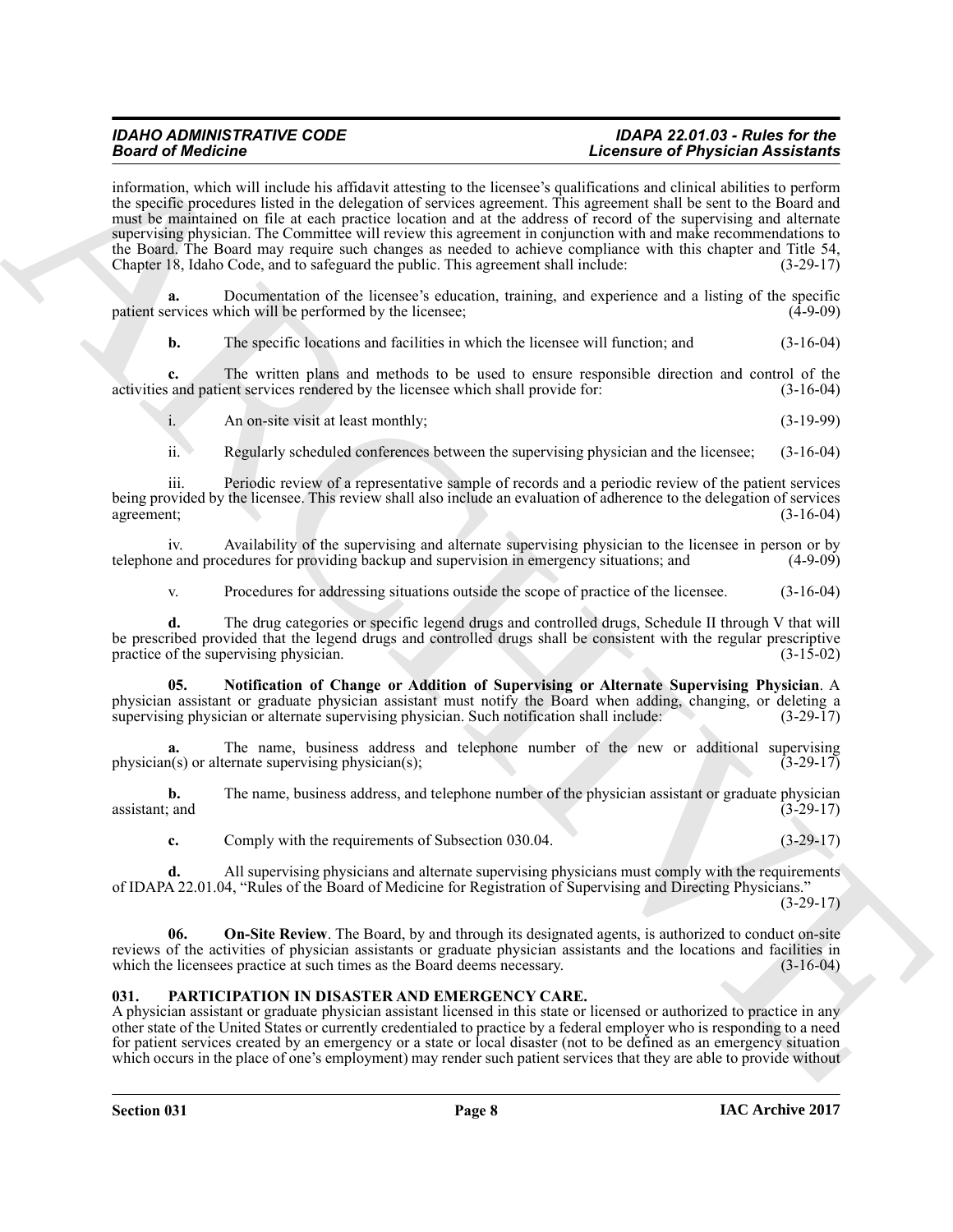**Example of the behavior and the transfer of the state of the state of the state of the state of the state of the state of the state of the state of the state of the state of the state of the state of the state of the sta** information, which will include his affidavit attesting to the licensee's qualifications and clinical abilities to perform the specific procedures listed in the delegation of services agreement. This agreement shall be sent to the Board and must be maintained on file at each practice location and at the address of record of the supervising and alternate supervising physician. The Committee will review this agreement in conjunction with and make recommendations to the Board. The Board may require such changes as needed to achieve compliance with this chapter and Title 54, Chapter 18, Idaho Code, and to safeguard the public. This agreement shall include: (3-29-17) Chapter 18, Idaho Code, and to safeguard the public. This agreement shall include:

**a.** Documentation of the licensee's education, training, and experience and a listing of the specific ervices which will be performed by the licensee: (4-9-09) patient services which will be performed by the licensee;

**b.** The specific locations and facilities in which the licensee will function; and  $(3-16-04)$ 

**c.** The written plans and methods to be used to ensure responsible direction and control of the is and patient services rendered by the licensee which shall provide for: (3-16-04) activities and patient services rendered by the licensee which shall provide for:

i. An on-site visit at least monthly; (3-19-99)

ii. Regularly scheduled conferences between the supervising physician and the licensee; (3-16-04)

iii. Periodic review of a representative sample of records and a periodic review of the patient services being provided by the licensee. This review shall also include an evaluation of adherence to the delegation of services agreement; (3-16-04) agreement;  $(3-16-04)$ 

iv. Availability of the supervising and alternate supervising physician to the licensee in person or by e and procedures for providing backup and supervision in emergency situations: and (4-9-09) telephone and procedures for providing backup and supervision in emergency situations; and

<span id="page-7-2"></span>v. Procedures for addressing situations outside the scope of practice of the licensee. (3-16-04)

**d.** The drug categories or specific legend drugs and controlled drugs, Schedule II through V that will be prescribed provided that the legend drugs and controlled drugs shall be consistent with the regular prescriptive practice of the supervising physician. (3-15-02) practice of the supervising physician.

**05. Notification of Change or Addition of Supervising or Alternate Supervising Physician**. A physician assistant or graduate physician assistant must notify the Board when adding, changing, or deleting a supervising physician or alternate supervising physician. Such notification shall include: (3-29-17) supervising physician or alternate supervising physician. Such notification shall include:

The name, business address and telephone number of the new or additional supervising private supervising physician(s);<br> $(3-29-17)$  $physician(s)$  or alternate supervising physician(s);

**b.** The name, business address, and telephone number of the physician assistant or graduate physician assistant; and  $(3-29-17)$ assistant; and  $(3-29-17)$ 

<span id="page-7-3"></span>**c.** Comply with the requirements of Subsection 030.04. (3-29-17)

**d.** All supervising physicians and alternate supervising physicians must comply with the requirements of IDAPA 22.01.04, "Rules of the Board of Medicine for Registration of Supervising and Directing Physicians."  $(3-29-17)$ 

**06. On-Site Review**. The Board, by and through its designated agents, is authorized to conduct on-site reviews of the activities of physician assistants or graduate physician assistants and the locations and facilities in which the licensees practice at such times as the Board deems necessary. (3-16-04) which the licensees practice at such times as the Board deems necessary.

#### <span id="page-7-1"></span><span id="page-7-0"></span>**031. PARTICIPATION IN DISASTER AND EMERGENCY CARE.**

A physician assistant or graduate physician assistant licensed in this state or licensed or authorized to practice in any other state of the United States or currently credentialed to practice by a federal employer who is responding to a need for patient services created by an emergency or a state or local disaster (not to be defined as an emergency situation which occurs in the place of one's employment) may render such patient services that they are able to provide without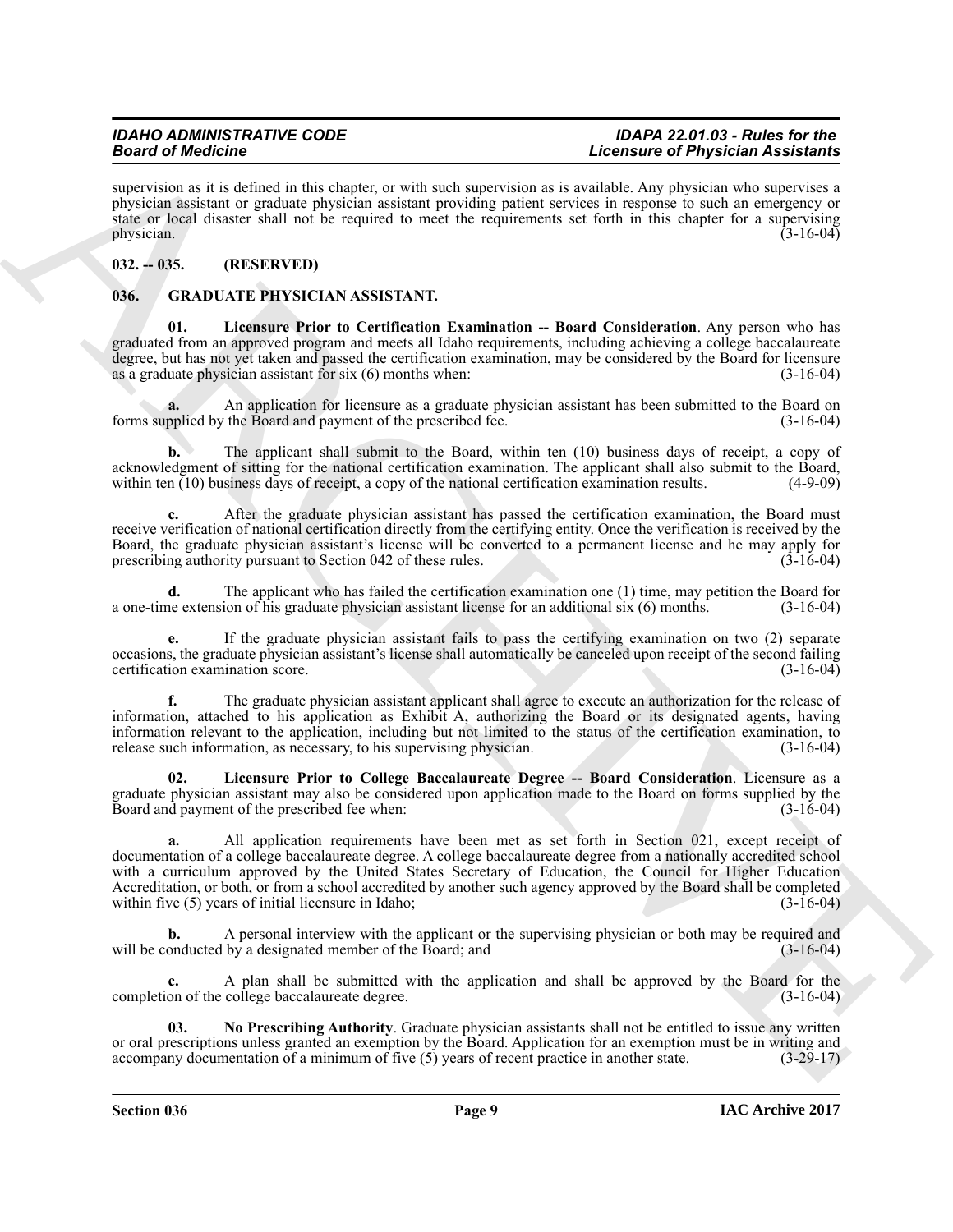supervision as it is defined in this chapter, or with such supervision as is available. Any physician who supervises a physician assistant or graduate physician assistant providing patient services in response to such an emergency or state or local disaster shall not be required to meet the requirements set forth in this chapter for a supervising physician.  $(3-16-04)$ 

#### <span id="page-8-0"></span>**032. -- 035. (RESERVED)**

#### <span id="page-8-2"></span><span id="page-8-1"></span>**036. GRADUATE PHYSICIAN ASSISTANT.**

<span id="page-8-3"></span>**01. Licensure Prior to Certification Examination -- Board Consideration**. Any person who has graduated from an approved program and meets all Idaho requirements, including achieving a college baccalaureate degree, but has not yet taken and passed the certification examination, may be considered by the Board for licensure as a graduate physician assistant for six (6) months when: (3-16-04) as a graduate physician assistant for six  $(6)$  months when:

An application for licensure as a graduate physician assistant has been submitted to the Board on the Board and payment of the prescribed fee.  $(3-16-04)$ forms supplied by the Board and payment of the prescribed fee.

**b.** The applicant shall submit to the Board, within ten (10) business days of receipt, a copy of acknowledgment of sitting for the national certification examination. The applicant shall also submit to the Board, within ten (10) business days of receipt. a copy of the national certification examination results. (4-9-0 within ten  $(10)$  business days of receipt, a copy of the national certification examination results.

**c.** After the graduate physician assistant has passed the certification examination, the Board must receive verification of national certification directly from the certifying entity. Once the verification is received by the Board, the graduate physician assistant's license will be converted to a permanent license and he may apply for prescribing authority pursuant to Section 042 of these rules. (3-16-04)

**d.** The applicant who has failed the certification examination one (1) time, may petition the Board for the extension of his graduate physician assistant license for an additional six (6) months. (3-16-04) a one-time extension of his graduate physician assistant license for an additional six (6) months.

**e.** If the graduate physician assistant fails to pass the certifying examination on two (2) separate occasions, the graduate physician assistant's license shall automatically be canceled upon receipt of the second failing certification examination score.

**f.** The graduate physician assistant applicant shall agree to execute an authorization for the release of information, attached to his application as Exhibit A, authorizing the Board or its designated agents, having information relevant to the application, including but not limited to the status of the certification examination, to release such information, as necessary to his supervising physician. (3-16-04) release such information, as necessary, to his supervising physician.

<span id="page-8-4"></span>**02. Licensure Prior to College Baccalaureate Degree -- Board Consideration**. Licensure as a graduate physician assistant may also be considered upon application made to the Board on forms supplied by the Board and payment of the prescribed fee when: Board and payment of the prescribed fee when:

Beautiful definition in a substitution of the substitution of the substitution of the substitution of the substitution of the substitution in a substitution of the substitution of the substitution in the substitution of t **a.** All application requirements have been met as set forth in Section 021, except receipt of documentation of a college baccalaureate degree. A college baccalaureate degree from a nationally accredited school with a curriculum approved by the United States Secretary of Education, the Council for Higher Education Accreditation, or both, or from a school accredited by another such agency approved by the Board shall be completed within five (5) years of initial licensure in Idaho;<br>(3-16-04) within five  $(5)$  years of initial licensure in Idaho;

**b.** A personal interview with the applicant or the supervising physician or both may be required and onducted by a designated member of the Board; and (3-16-04) will be conducted by a designated member of the  $\overline{B}$ oard; and

**c.** A plan shall be submitted with the application and shall be approved by the Board for the on of the college baccalaureate degree. (3-16-04) completion of the college baccalaureate degree.

<span id="page-8-5"></span>**03. No Prescribing Authority**. Graduate physician assistants shall not be entitled to issue any written or oral prescriptions unless granted an exemption by the Board. Application for an exemption must be in writing and accompany documentation of a minimum of five (5) years of recent practice in another state. (3-29-17) accompany documentation of a minimum of five (5) years of recent practice in another state.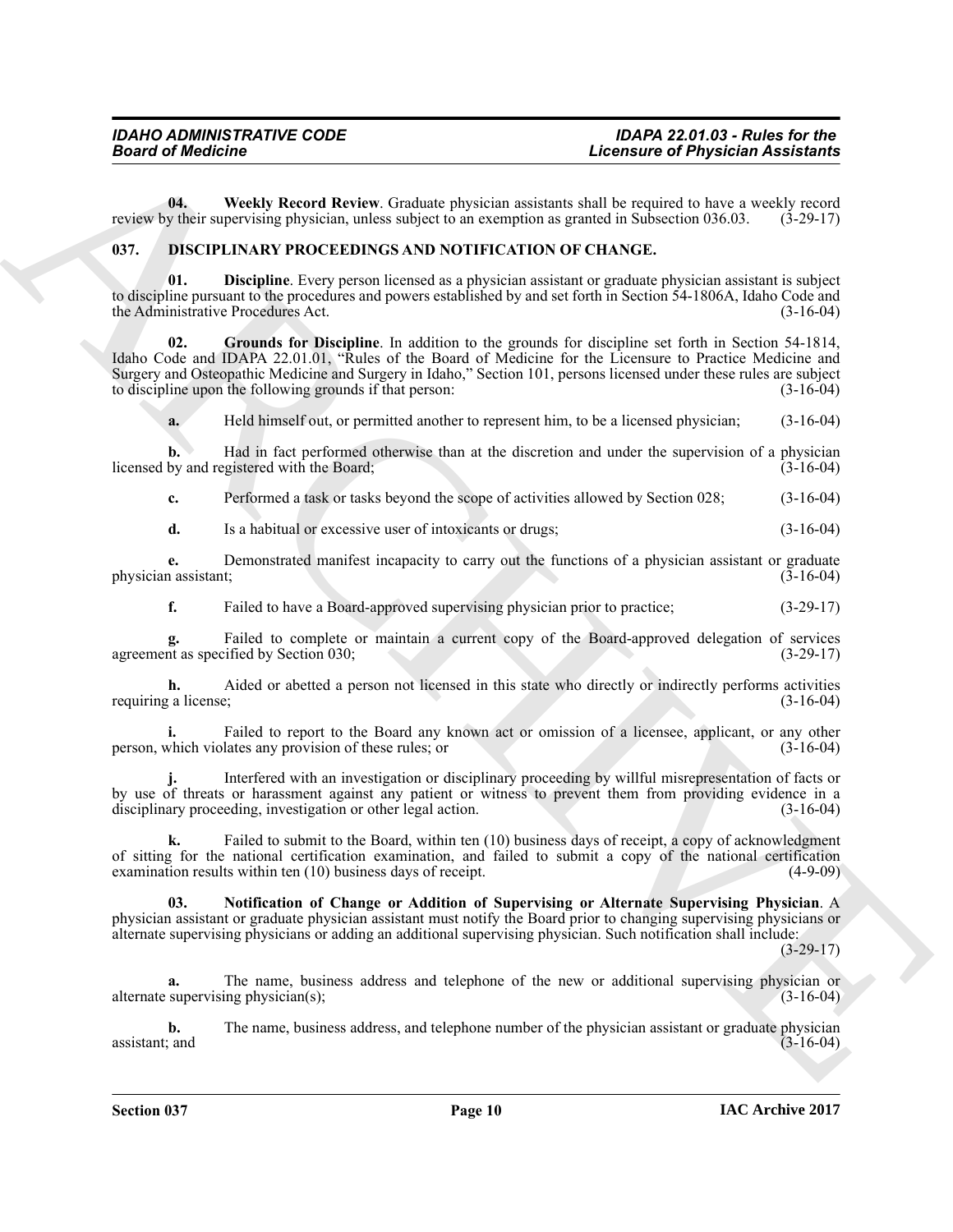<span id="page-9-5"></span>**04. Weekly Record Review**. Graduate physician assistants shall be required to have a weekly record v their supervising physician, unless subject to an exemption as granted in Subsection 036.03. (3-29-17) review by their supervising physician, unless subject to an exemption as granted in Subsection 036.03.

#### <span id="page-9-1"></span><span id="page-9-0"></span>**037. DISCIPLINARY PROCEEDINGS AND NOTIFICATION OF CHANGE.**

<span id="page-9-2"></span>**01. Discipline**. Every person licensed as a physician assistant or graduate physician assistant is subject to discipline pursuant to the procedures and powers established by and set forth in Section 54-1806A, Idaho Code and<br>(3-16-04) (3-16-04) the Administrative Procedures Act.

**Example of Physician Assistants**<br> **Example of Physician Assistants**<br> **Example 20**<br> **Example 20**<br> **Example 20**<br> **Example 20**<br> **Example 20**<br> **Example 20**<br> **Example 20**<br> **Example 20**<br> **Example 20**<br> **Example 20**<br> **Example 20 02. Grounds for Discipline**. In addition to the grounds for discipline set forth in Section 54-1814, Idaho Code and IDAPA 22.01.01, "Rules of the Board of Medicine for the Licensure to Practice Medicine and Surgery and Osteopathic Medicine and Surgery in Idaho," Section 101, persons licensed under these rules are subject to discipline upon the following grounds if that person: (3-16-04) to discipline upon the following grounds if that person:

<span id="page-9-3"></span>**a.** Held himself out, or permitted another to represent him, to be a licensed physician; (3-16-04)

**b.** Had in fact performed otherwise than at the discretion and under the supervision of a physician licensed by and registered with the Board; (3-16-04)

**c.** Performed a task or tasks beyond the scope of activities allowed by Section 028; (3-16-04)

**d.** Is a habitual or excessive user of intoxicants or drugs; (3-16-04)

**e.** Demonstrated manifest incapacity to carry out the functions of a physician assistant or graduate n assistant: (3-16-04) physician assistant;

**f.** Failed to have a Board-approved supervising physician prior to practice;  $(3-29-17)$ 

**g.** Failed to complete or maintain a current copy of the Board-approved delegation of services in as specified by Section 030; (3-29-17) agreement as specified by Section 030;

**h.** Aided or abetted a person not licensed in this state who directly or indirectly performs activities requiring a license; (3-16-04)

**i.** Failed to report to the Board any known act or omission of a licensee, applicant, or any other which violates any provision of these rules: or  $(3-16-04)$ person, which violates any provision of these rules; or (3-16-04)

**j.** Interfered with an investigation or disciplinary proceeding by willful misrepresentation of facts or by use of threats or harassment against any patient or witness to prevent them from providing evidence in a disciplinary proceeding investigation or other legal action. disciplinary proceeding, investigation or other legal action.

Failed to submit to the Board, within ten (10) business days of receipt, a copy of acknowledgment of sitting for the national certification examination, and failed to submit a copy of the national certification examination results within ten  $(10)$  business days of receipt.  $(4-9-09)$ examination results within ten  $(10)$  business days of receipt.

<span id="page-9-4"></span>**03. Notification of Change or Addition of Supervising or Alternate Supervising Physician**. A physician assistant or graduate physician assistant must notify the Board prior to changing supervising physicians or alternate supervising physicians or adding an additional supervising physician. Such notification shall include:

 $(3-29-17)$ 

**a.** The name, business address and telephone of the new or additional supervising physician or supervising physician(s); (3-16-04) alternate supervising physician(s);

**b.** The name, business address, and telephone number of the physician assistant or graduate physician assistant; and  $(3-16-04)$  $\alpha$  assistant; and  $(3-16-04)$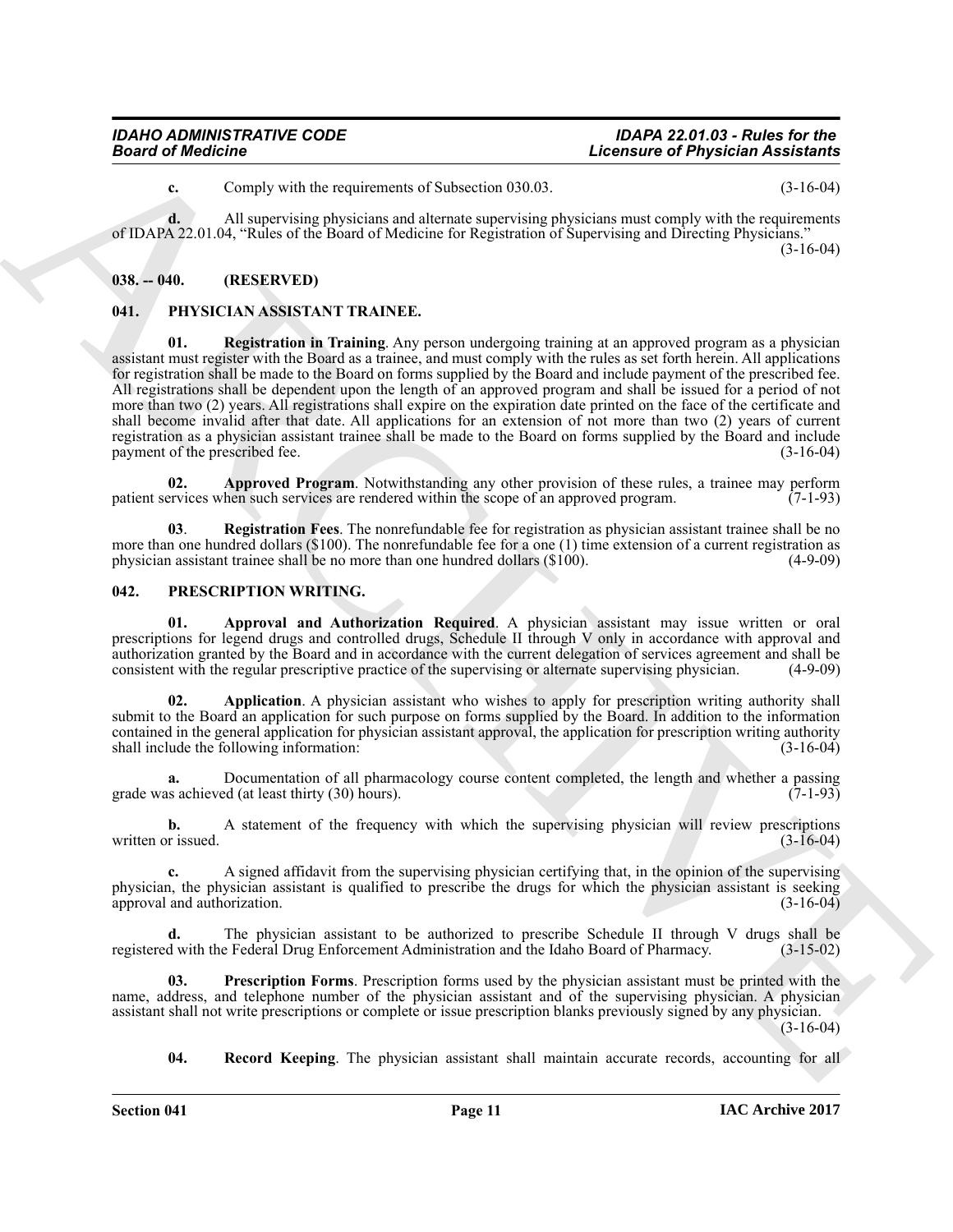**c.** Comply with the requirements of Subsection 030.03. (3-16-04)

**d.** All supervising physicians and alternate supervising physicians must comply with the requirements of IDAPA 22.01.04, "Rules of the Board of Medicine for Registration of Supervising and Directing Physicians." (3-16-04)

<span id="page-10-0"></span>**038. -- 040. (RESERVED)**

#### <span id="page-10-6"></span><span id="page-10-3"></span><span id="page-10-1"></span>**041. PHYSICIAN ASSISTANT TRAINEE.**

**Example of Physician Assistants of Subsering University of Physician Assistants<br>
Constant Assistant Constant Association Constant Association Constant Association (Constant Association Constant)<br>
(CID-APC) of the state o 01. Registration in Training**. Any person undergoing training at an approved program as a physician assistant must register with the Board as a trainee, and must comply with the rules as set forth herein. All applications for registration shall be made to the Board on forms supplied by the Board and include payment of the prescribed fee. All registrations shall be dependent upon the length of an approved program and shall be issued for a period of not more than two (2) years. All registrations shall expire on the expiration date printed on the face of the certificate and shall become invalid after that date. All applications for an extension of not more than two (2) years of current registration as a physician assistant trainee shall be made to the Board on forms supplied by the Board and include payment of the prescribed fee. (3-16-04) payment of the prescribed fee.

<span id="page-10-4"></span>**02. Approved Program**. Notwithstanding any other provision of these rules, a trainee may perform ervices when such services are rendered within the scope of an approved program. (7-1-93) patient services when such services are rendered within the scope of an approved program.

<span id="page-10-5"></span>**03**. **Registration Fees**. The nonrefundable fee for registration as physician assistant trainee shall be no more than one hundred dollars (\$100). The nonrefundable fee for a one (1) time extension of a current registration as physician assistant trainee shall be no more than one hundred dollars (\$100). (4-9-09)

#### <span id="page-10-7"></span><span id="page-10-2"></span>**042. PRESCRIPTION WRITING.**

<span id="page-10-9"></span>**01. Approval and Authorization Required**. A physician assistant may issue written or oral prescriptions for legend drugs and controlled drugs, Schedule II through V only in accordance with approval and authorization granted by the Board and in accordance with the current delegation of services agreement and shall be consistent with the regular prescriptive practice of the supervising or alternate supervising physician.

<span id="page-10-8"></span>**02. Application**. A physician assistant who wishes to apply for prescription writing authority shall submit to the Board an application for such purpose on forms supplied by the Board. In addition to the information contained in the general application for physician assistant approval, the application for prescription writing authority shall include the following information: (3-16-04) (3-16-04)

Documentation of all pharmacology course content completed, the length and whether a passing ed (at least thirty (30) hours). grade was achieved (at least thirty  $(30)$  hours).

**b.** A statement of the frequency with which the supervising physician will review prescriptions written or issued. (3-16-04) (3-16-04)

**c.** A signed affidavit from the supervising physician certifying that, in the opinion of the supervising physician, the physician assistant is qualified to prescribe the drugs for which the physician assistant is seeking approval and authorization. (3-16-04) approval and authorization.

**d.** The physician assistant to be authorized to prescribe Schedule II through V drugs shall be d with the Federal Drug Enforcement Administration and the Idaho Board of Pharmacy. (3-15-02) registered with the Federal Drug Enforcement Administration and the Idaho Board of Pharmacy.

**Prescription Forms**. Prescription forms used by the physician assistant must be printed with the name, address, and telephone number of the physician assistant and of the supervising physician. A physician assistant shall not write prescriptions or complete or issue prescription blanks previously signed by any physician. (3-16-04)

<span id="page-10-11"></span><span id="page-10-10"></span>**04. Record Keeping**. The physician assistant shall maintain accurate records, accounting for all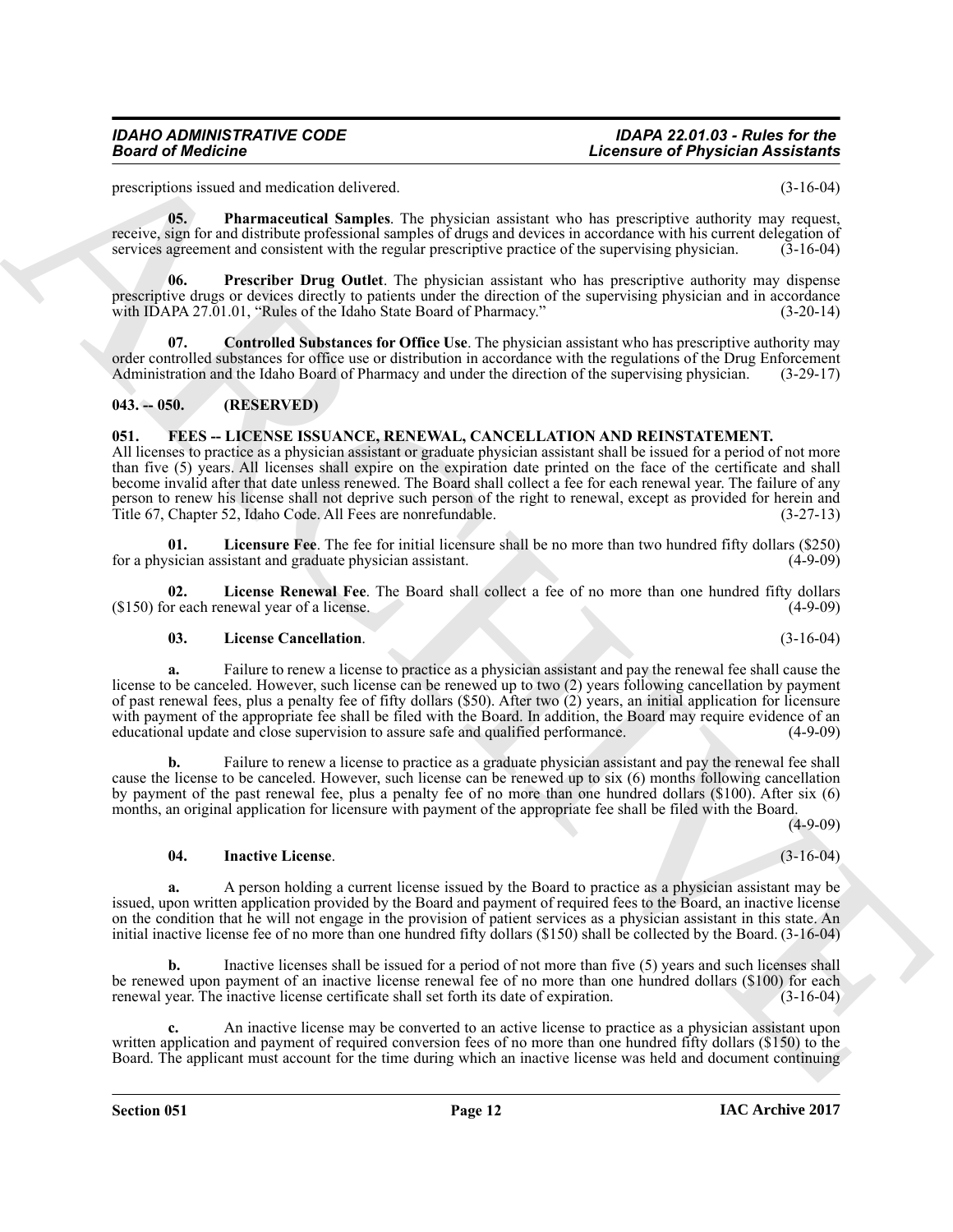<span id="page-11-8"></span>prescriptions issued and medication delivered. (3-16-04)

**05. Pharmaceutical Samples**. The physician assistant who has prescriptive authority may request, receive, sign for and distribute professional samples of drugs and devices in accordance with his current delegation of services agreement and consistent with the regular prescriptive practice of the supervising physician. services agreement and consistent with the regular prescriptive practice of the supervising physician.

<span id="page-11-9"></span>**06. Prescriber Drug Outlet**. The physician assistant who has prescriptive authority may dispense prescriptive drugs or devices directly to patients under the direction of the supervising physician and in accordance<br>with IDAPA 27.01.01, "Rules of the Idaho State Board of Pharmacy." (3-20-14) with IDAPA 27.01.01, "Rules of the Idaho State Board of Pharmacy."

<span id="page-11-7"></span>**07. Controlled Substances for Office Use**. The physician assistant who has prescriptive authority may order controlled substances for office use or distribution in accordance with the regulations of the Drug Enforcement<br>Administration and the Idaho Board of Pharmacy and under the direction of the supervising physician. (3-Administration and the Idaho Board of Pharmacy and under the direction of the supervising physician.

#### <span id="page-11-0"></span>**043. -- 050. (RESERVED)**

## <span id="page-11-2"></span><span id="page-11-1"></span>**051. FEES -- LICENSE ISSUANCE, RENEWAL, CANCELLATION AND REINSTATEMENT.**

All licenses to practice as a physician assistant or graduate physician assistant shall be issued for a period of not more than five (5) years. All licenses shall expire on the expiration date printed on the face of the certificate and shall become invalid after that date unless renewed. The Board shall collect a fee for each renewal year. The failure of any person to renew his license shall not deprive such person of the right to renewal, except as provided for herein and Title 67, Chapter 52, Idaho Code. All Fees are nonrefundable. (3-27-13)

<span id="page-11-6"></span>**01. Licensure Fee**. The fee for initial licensure shall be no more than two hundred fifty dollars (\$250) for a physician assistant and graduate physician assistant. (4-9-09)

**02.** License Renewal Fee. The Board shall collect a fee of no more than one hundred fifty dollars or each renewal year of a license.  $(150)$  for each renewal year of a license.

#### <span id="page-11-5"></span><span id="page-11-4"></span>**03. License Cancellation**. (3-16-04)

**Example of Physician Assistance**<br> **Lecturing Consideration** (Lecturing Consideration Consideration Consideration Consideration (Letter)<br>
ARCHIVES CONSIDERATION (Letter) and the consideration of the specific properties an **a.** Failure to renew a license to practice as a physician assistant and pay the renewal fee shall cause the license to be canceled. However, such license can be renewed up to two (2) years following cancellation by payment of past renewal fees, plus a penalty fee of fifty dollars (\$50). After two (2) years, an initial application for licensure with payment of the appropriate fee shall be filed with the Board. In addition, the Board may require evidence of an educational update and close supervision to assure safe and qualified performance. (4-9-09) educational update and close supervision to assure safe and qualified performance.

**b.** Failure to renew a license to practice as a graduate physician assistant and pay the renewal fee shall cause the license to be canceled. However, such license can be renewed up to six (6) months following cancellation by payment of the past renewal fee, plus a penalty fee of no more than one hundred dollars (\$100). After six (6) months, an original application for licensure with payment of the appropriate fee shall be filed with the Board.

 $(4-9-09)$ 

#### <span id="page-11-3"></span>**04. Inactive License**. (3-16-04)

**a.** A person holding a current license issued by the Board to practice as a physician assistant may be issued, upon written application provided by the Board and payment of required fees to the Board, an inactive license on the condition that he will not engage in the provision of patient services as a physician assistant in this state. An initial inactive license fee of no more than one hundred fifty dollars (\$150) shall be collected by the Board. (3-16-04)

**b.** Inactive licenses shall be issued for a period of not more than five (5) years and such licenses shall be renewed upon payment of an inactive license renewal fee of no more than one hundred dollars (\$100) for each renewal year. The inactive license certificate shall set forth its date of expiration. (3-16-04) renewal year. The inactive license certificate shall set forth its date of expiration.

**c.** An inactive license may be converted to an active license to practice as a physician assistant upon written application and payment of required conversion fees of no more than one hundred fifty dollars (\$150) to the Board. The applicant must account for the time during which an inactive license was held and document continuing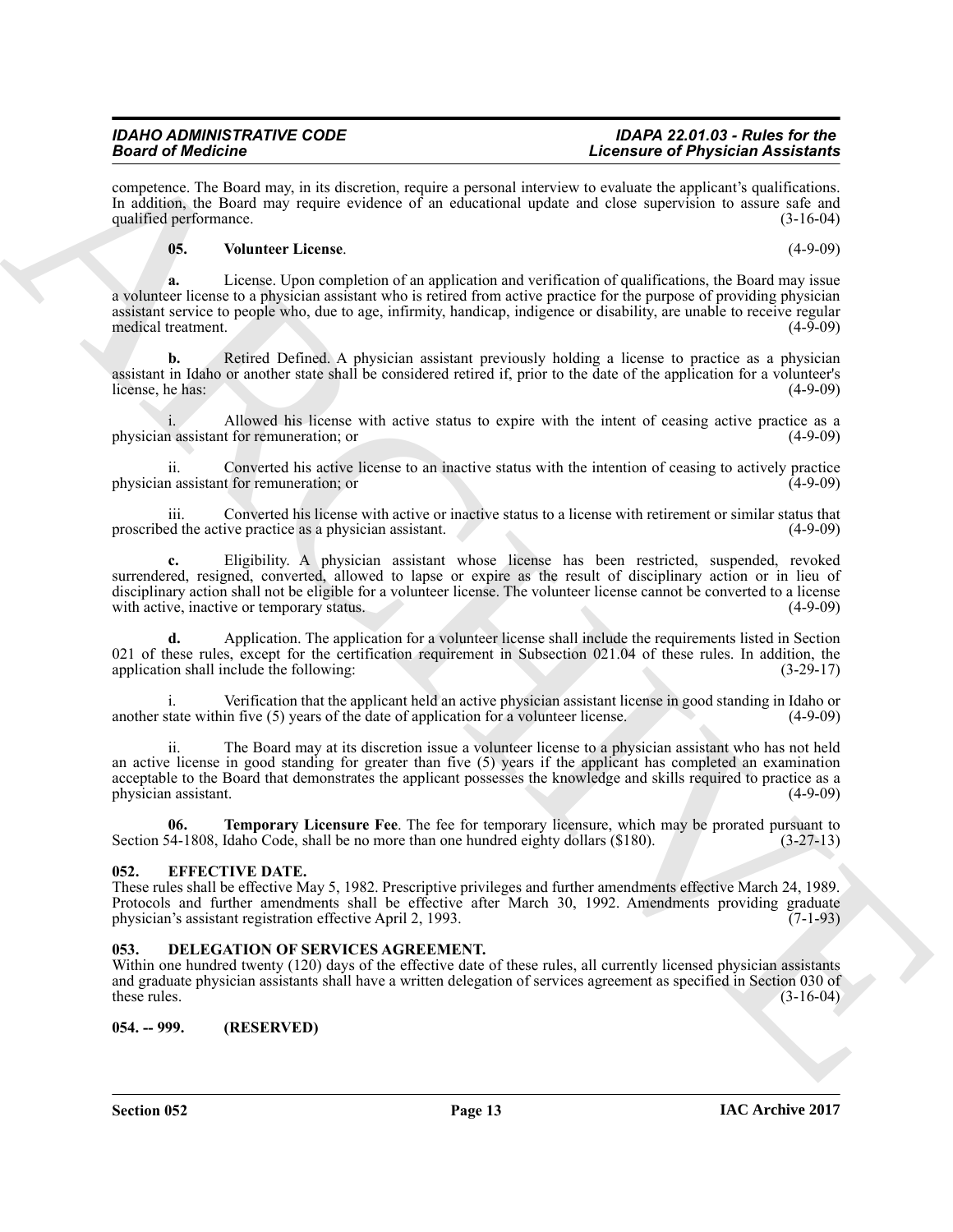competence. The Board may, in its discretion, require a personal interview to evaluate the applicant's qualifications. In addition, the Board may require evidence of an educational update and close supervision to assure safe and qualified performance. (3-16-04) qualified performance.

#### <span id="page-12-5"></span>**05. Volunteer License**. (4-9-09)

**Solution** of the best control of the control of the control of the control of the control of the control of the control of the control of the control of the control of the control of the control of the control of the con **a.** License. Upon completion of an application and verification of qualifications, the Board may issue a volunteer license to a physician assistant who is retired from active practice for the purpose of providing physician assistant service to people who, due to age, infirmity, handicap, indigence or disability, are unable to receive regular medical treatment. (4-9-09)

**b.** Retired Defined. A physician assistant previously holding a license to practice as a physician assistant in Idaho or another state shall be considered retired if, prior to the date of the application for a volunteer's license, he has:

i. Allowed his license with active status to expire with the intent of ceasing active practice as a physician assistant for remuneration; or (4-9-09)

ii. Converted his active license to an inactive status with the intention of ceasing to actively practice physician assistant for remuneration; or

iii. Converted his license with active or inactive status to a license with retirement or similar status that proscribed the active practice as a physician assistant.

**c.** Eligibility. A physician assistant whose license has been restricted, suspended, revoked surrendered, resigned, converted, allowed to lapse or expire as the result of disciplinary action or in lieu of disciplinary action shall not be eligible for a volunteer license. The volunteer license cannot be converted to a license with active inactive or temporary status. (4-9-09) with active, inactive or temporary status.

**d.** Application. The application for a volunteer license shall include the requirements listed in Section 021 of these rules, except for the certification requirement in Subsection 021.04 of these rules. In addition, the application shall include the following: (3-29-17) application shall include the following:

i. Verification that the applicant held an active physician assistant license in good standing in Idaho or tate within five (5) years of the date of application for a volunteer license. (4-9-09) another state within five  $(5)$  years of the date of application for a volunteer license.

ii. The Board may at its discretion issue a volunteer license to a physician assistant who has not held an active license in good standing for greater than five  $(5)$  years if the applicant has completed an examination acceptable to the Board that demonstrates the applicant possesses the knowledge and skills required to practice as a physician assistant.

<span id="page-12-4"></span>**06. Temporary Licensure Fee**. The fee for temporary licensure, which may be prorated pursuant to Section 54-1808, Idaho Code, shall be no more than one hundred eighty dollars (\$180). (3-27-13)

#### <span id="page-12-0"></span>**052. EFFECTIVE DATE.**

These rules shall be effective May 5, 1982. Prescriptive privileges and further amendments effective March 24, 1989. Protocols and further amendments shall be effective after March 30, 1992. Amendments providing graduate physician's assistant registration effective April 2, 1993. (7-1-93)

#### <span id="page-12-3"></span><span id="page-12-1"></span>**053. DELEGATION OF SERVICES AGREEMENT.**

Within one hundred twenty (120) days of the effective date of these rules, all currently licensed physician assistants and graduate physician assistants shall have a written delegation of services agreement as specified in Section 030 of these rules. (3-16-04) these rules.  $(3-16-04)$ 

<span id="page-12-2"></span>**054. -- 999. (RESERVED)**